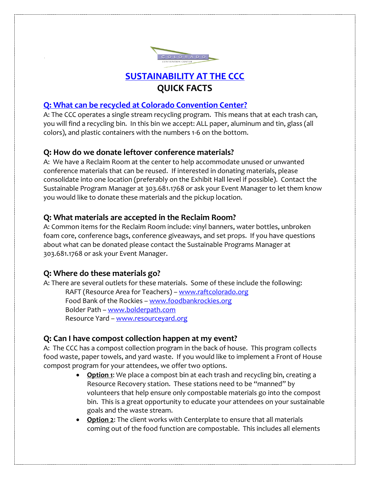

# **[SUSTAINABILITY AT THE CCC](http://denverconvention.com/about-us/sustainability/) QUICK FACTS**

# **[Q: What can be recycled at Colorado Convention Center?](http://denverconvention.com/about-us/sustainability/waste/)**

A: The CCC operates a single stream recycling program. This means that at each trash can, you will find a recycling bin. In this bin we accept: ALL paper, aluminum and tin, glass (all colors), and plastic containers with the numbers 1-6 on the bottom.

# **Q: How do we donate leftover conference materials?**

A: We have a Reclaim Room at the center to help accommodate unused or unwanted conference materials that can be reused. If interested in donating materials, please consolidate into one location (preferably on the Exhibit Hall level if possible). Contact the Sustainable Program Manager at 303.681.1768 or ask your Event Manager to let them know you would like to donate these materials and the pickup location.

## **Q: What materials are accepted in the Reclaim Room?**

A: Common items for the Reclaim Room include: vinyl banners, water bottles, unbroken foam core, conference bags, conference giveaways, and set props. If you have questions about what can be donated please contact the Sustainable Programs Manager at 303.681.1768 or ask your Event Manager.

## **Q: Where do these materials go?**

A: There are several outlets for these materials. Some of these include the following: RAFT (Resource Area for Teachers) – [www.raftcolorado.org](http://www.raftcolorado.org/) Food Bank of the Rockies – [www.foodbankrockies.org](http://www.foodbankrockies.org/) Bolder Path – [www.bolderpath.com](http://www.bolderpath.com/) Resource Yard – [www.resourceyard.org](http://www.resourceyard.org/)

## **Q: Can I have compost collection happen at my event?**

A: The CCC has a compost collection program in the back of house. This program collects food waste, paper towels, and yard waste. If you would like to implement a Front of House compost program for your attendees, we offer two options.

- **Option 1**: We place a compost bin at each trash and recycling bin, creating a Resource Recovery station. These stations need to be "manned" by volunteers that help ensure only compostable materials go into the compost bin. This is a great opportunity to educate your attendees on your sustainable goals and the waste stream.
- **Option 2**: The client works with Centerplate to ensure that all materials coming out of the food function are compostable. This includes all elements